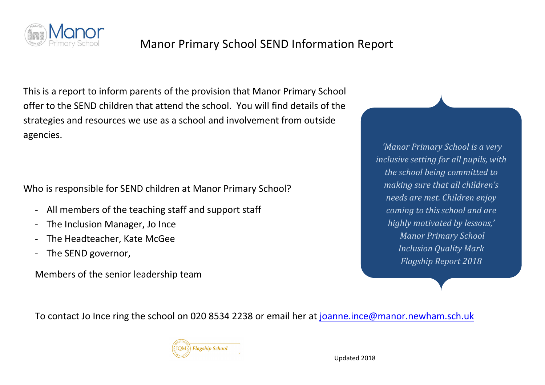

#### Manor Primary School SEND Information Report

This is a report to inform parents of the provision that Manor Primary School offer to the SEND children that attend the school. You will find details of the strategies and resources we use as a school and involvement from outside agencies.

Who is responsible for SEND children at Manor Primary School?

- All members of the teaching staff and support staff
- The Inclusion Manager, Jo Ince
- The Headteacher, Kate McGee
- The SEND governor,

Members of the senior leadership team

*'Manor Primary School is a very inclusive setting for all pupils, with* the school being committed to *making sure that all children's needs are met. Children enjoy coming to this school and are highly motivated by lessons,' Manor Primary School Inclusion Quality Mark Flagship Report 2018*

To contact Jo Ince ring the school on 020 8534 2238 or email her at joanne.ince@manor.newham.sch.uk

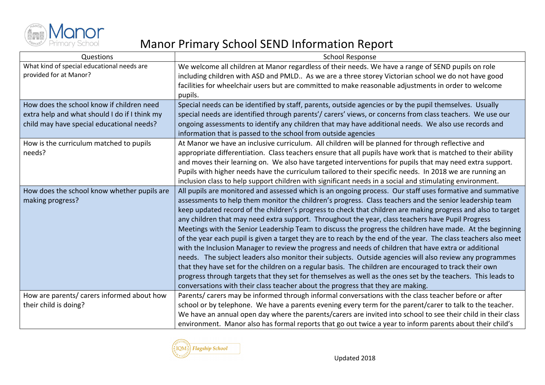

| Questions                                                                                                                               | <b>School Response</b>                                                                                                                                                                                                                                                                                                                                                                                                                                                                                                                                                                                                                                                                                                                                                                                                                                                                                                                                                                                                                                                                                                                                                                                      |
|-----------------------------------------------------------------------------------------------------------------------------------------|-------------------------------------------------------------------------------------------------------------------------------------------------------------------------------------------------------------------------------------------------------------------------------------------------------------------------------------------------------------------------------------------------------------------------------------------------------------------------------------------------------------------------------------------------------------------------------------------------------------------------------------------------------------------------------------------------------------------------------------------------------------------------------------------------------------------------------------------------------------------------------------------------------------------------------------------------------------------------------------------------------------------------------------------------------------------------------------------------------------------------------------------------------------------------------------------------------------|
| What kind of special educational needs are<br>provided for at Manor?                                                                    | We welcome all children at Manor regardless of their needs. We have a range of SEND pupils on role<br>including children with ASD and PMLD As we are a three storey Victorian school we do not have good<br>facilities for wheelchair users but are committed to make reasonable adjustments in order to welcome<br>pupils.                                                                                                                                                                                                                                                                                                                                                                                                                                                                                                                                                                                                                                                                                                                                                                                                                                                                                 |
| How does the school know if children need<br>extra help and what should I do if I think my<br>child may have special educational needs? | Special needs can be identified by staff, parents, outside agencies or by the pupil themselves. Usually<br>special needs are identified through parents'/ carers' views, or concerns from class teachers. We use our<br>ongoing assessments to identify any children that may have additional needs. We also use records and<br>information that is passed to the school from outside agencies                                                                                                                                                                                                                                                                                                                                                                                                                                                                                                                                                                                                                                                                                                                                                                                                              |
| How is the curriculum matched to pupils<br>needs?                                                                                       | At Manor we have an inclusive curriculum. All children will be planned for through reflective and<br>appropriate differentiation. Class teachers ensure that all pupils have work that is matched to their ability<br>and moves their learning on. We also have targeted interventions for pupils that may need extra support.<br>Pupils with higher needs have the curriculum tailored to their specific needs. In 2018 we are running an<br>inclusion class to help support children with significant needs in a social and stimulating environment.                                                                                                                                                                                                                                                                                                                                                                                                                                                                                                                                                                                                                                                      |
| How does the school know whether pupils are<br>making progress?                                                                         | All pupils are monitored and assessed which is an ongoing process. Our staff uses formative and summative<br>assessments to help them monitor the children's progress. Class teachers and the senior leadership team<br>keep updated record of the children's progress to check that children are making progress and also to target<br>any children that may need extra support. Throughout the year, class teachers have Pupil Progress<br>Meetings with the Senior Leadership Team to discuss the progress the children have made. At the beginning<br>of the year each pupil is given a target they are to reach by the end of the year. The class teachers also meet<br>with the Inclusion Manager to review the progress and needs of children that have extra or additional<br>needs. The subject leaders also monitor their subjects. Outside agencies will also review any programmes<br>that they have set for the children on a regular basis. The children are encouraged to track their own<br>progress through targets that they set for themselves as well as the ones set by the teachers. This leads to<br>conversations with their class teacher about the progress that they are making. |
| How are parents/ carers informed about how<br>their child is doing?                                                                     | Parents/ carers may be informed through informal conversations with the class teacher before or after<br>school or by telephone. We have a parents evening every term for the parent/carer to talk to the teacher.<br>We have an annual open day where the parents/carers are invited into school to see their child in their class<br>environment. Manor also has formal reports that go out twice a year to inform parents about their child's                                                                                                                                                                                                                                                                                                                                                                                                                                                                                                                                                                                                                                                                                                                                                            |

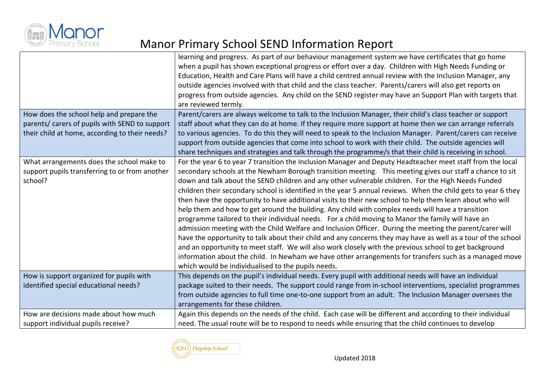

|                                                | learning and progress. As part of our behaviour management system we have certificates that go home<br>when a pupil has shown exceptional progress or effort over a day. Children with High Needs Funding or<br>Education, Health and Care Plans will have a child centred annual review with the Inclusion Manager, any<br>outside agencies involved with that child and the class teacher. Parents/carers will also get reports on<br>progress from outside agencies. Any child on the SEND register may have an Support Plan with targets that<br>are reviewed termly. |
|------------------------------------------------|---------------------------------------------------------------------------------------------------------------------------------------------------------------------------------------------------------------------------------------------------------------------------------------------------------------------------------------------------------------------------------------------------------------------------------------------------------------------------------------------------------------------------------------------------------------------------|
| How does the school help and prepare the       | Parent/carers are always welcome to talk to the Inclusion Manager, their child's class teacher or support                                                                                                                                                                                                                                                                                                                                                                                                                                                                 |
| parents/ carers of pupils with SEND to support | staff about what they can do at home. If they require more support at home then we can arrange referrals                                                                                                                                                                                                                                                                                                                                                                                                                                                                  |
| their child at home, according to their needs? | to various agencies. To do this they will need to speak to the Inclusion Manager. Parent/carers can receive                                                                                                                                                                                                                                                                                                                                                                                                                                                               |
|                                                | support from outside agencies that come into school to work with their child. The outside agencies will                                                                                                                                                                                                                                                                                                                                                                                                                                                                   |
|                                                | share techniques and strategies and talk through the programme/s that their child is receiving in school.                                                                                                                                                                                                                                                                                                                                                                                                                                                                 |
| What arrangements does the school make to      | For the year 6 to year 7 transition the Inclusion Manager and Deputy Headteacher meet staff from the local                                                                                                                                                                                                                                                                                                                                                                                                                                                                |
| support pupils transferring to or from another | secondary schools at the Newham Borough transition meeting. This meeting gives our staff a chance to sit                                                                                                                                                                                                                                                                                                                                                                                                                                                                  |
| school?                                        | down and talk about the SEND children and any other vulnerable children. For the High Needs Funded                                                                                                                                                                                                                                                                                                                                                                                                                                                                        |
|                                                | children their secondary school is identified in the year 5 annual reviews. When the child gets to year 6 they                                                                                                                                                                                                                                                                                                                                                                                                                                                            |
|                                                | then have the opportunity to have additional visits to their new school to help them learn about who will                                                                                                                                                                                                                                                                                                                                                                                                                                                                 |
|                                                | help them and how to get around the building. Any child with complex needs will have a transition                                                                                                                                                                                                                                                                                                                                                                                                                                                                         |
|                                                | programme tailored to their individual needs. For a child moving to Manor the family will have an                                                                                                                                                                                                                                                                                                                                                                                                                                                                         |
|                                                | admission meeting with the Child Welfare and Inclusion Officer. During the meeting the parent/carer will                                                                                                                                                                                                                                                                                                                                                                                                                                                                  |
|                                                | have the opportunity to talk about their child and any concerns they may have as well as a tour of the school                                                                                                                                                                                                                                                                                                                                                                                                                                                             |
|                                                | and an opportunity to meet staff. We will also work closely with the previous school to get background                                                                                                                                                                                                                                                                                                                                                                                                                                                                    |
|                                                | information about the child. In Newham we have other arrangements for transfers such as a managed move                                                                                                                                                                                                                                                                                                                                                                                                                                                                    |
|                                                | which would be individualised to the pupils needs.                                                                                                                                                                                                                                                                                                                                                                                                                                                                                                                        |
| How is support organized for pupils with       | This depends on the pupil's individual needs. Every pupil with additional needs will have an individual                                                                                                                                                                                                                                                                                                                                                                                                                                                                   |
| identified special educational needs?          | package suited to their needs. The support could range from in-school interventions, specialist programmes                                                                                                                                                                                                                                                                                                                                                                                                                                                                |
|                                                | from outside agencies to full time one-to-one support from an adult. The Inclusion Manager oversees the                                                                                                                                                                                                                                                                                                                                                                                                                                                                   |
|                                                | arrangements for these children.                                                                                                                                                                                                                                                                                                                                                                                                                                                                                                                                          |
| How are decisions made about how much          | Again this depends on the needs of the child. Each case will be different and according to their individual                                                                                                                                                                                                                                                                                                                                                                                                                                                               |
| support individual pupils receive?             | need. The usual route will be to respond to needs while ensuring that the child continues to develop                                                                                                                                                                                                                                                                                                                                                                                                                                                                      |

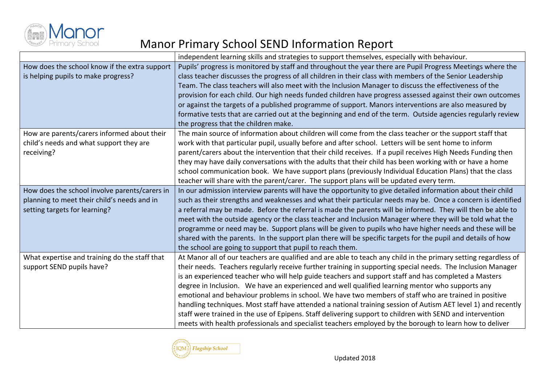

|                                                                                                                               | independent learning skills and strategies to support themselves, especially with behaviour.                                                                                                                                                                                                                                                                                                                                                                                                                                                                                                                                                                                                                                                                                                                                                                                               |
|-------------------------------------------------------------------------------------------------------------------------------|--------------------------------------------------------------------------------------------------------------------------------------------------------------------------------------------------------------------------------------------------------------------------------------------------------------------------------------------------------------------------------------------------------------------------------------------------------------------------------------------------------------------------------------------------------------------------------------------------------------------------------------------------------------------------------------------------------------------------------------------------------------------------------------------------------------------------------------------------------------------------------------------|
| How does the school know if the extra support<br>is helping pupils to make progress?                                          | Pupils' progress is monitored by staff and throughout the year there are Pupil Progress Meetings where the<br>class teacher discusses the progress of all children in their class with members of the Senior Leadership<br>Team. The class teachers will also meet with the Inclusion Manager to discuss the effectiveness of the<br>provision for each child. Our high needs funded children have progress assessed against their own outcomes<br>or against the targets of a published programme of support. Manors interventions are also measured by<br>formative tests that are carried out at the beginning and end of the term. Outside agencies regularly review<br>the progress that the children make.                                                                                                                                                                           |
| How are parents/carers informed about their<br>child's needs and what support they are<br>receiving?                          | The main source of information about children will come from the class teacher or the support staff that<br>work with that particular pupil, usually before and after school. Letters will be sent home to inform<br>parent/carers about the intervention that their child receives. If a pupil receives High Needs Funding then<br>they may have daily conversations with the adults that their child has been working with or have a home<br>school communication book. We have support plans (previously Individual Education Plans) that the class<br>teacher will share with the parent/carer. The support plans will be updated every term.                                                                                                                                                                                                                                          |
| How does the school involve parents/carers in<br>planning to meet their child's needs and in<br>setting targets for learning? | In our admission interview parents will have the opportunity to give detailed information about their child<br>such as their strengths and weaknesses and what their particular needs may be. Once a concern is identified<br>a referral may be made. Before the referral is made the parents will be informed. They will then be able to<br>meet with the outside agency or the class teacher and Inclusion Manager where they will be told what the<br>programme or need may be. Support plans will be given to pupils who have higher needs and these will be<br>shared with the parents. In the support plan there will be specific targets for the pupil and details of how<br>the school are going to support that pupil to reach them.                                                                                                                                              |
| What expertise and training do the staff that<br>support SEND pupils have?                                                    | At Manor all of our teachers are qualified and are able to teach any child in the primary setting regardless of<br>their needs. Teachers regularly receive further training in supporting special needs. The Inclusion Manager<br>is an experienced teacher who will help guide teachers and support staff and has completed a Masters<br>degree in Inclusion. We have an experienced and well qualified learning mentor who supports any<br>emotional and behaviour problems in school. We have two members of staff who are trained in positive<br>handling techniques. Most staff have attended a national training session of Autism AET level 1) and recently<br>staff were trained in the use of Epipens. Staff delivering support to children with SEND and intervention<br>meets with health professionals and specialist teachers employed by the borough to learn how to deliver |

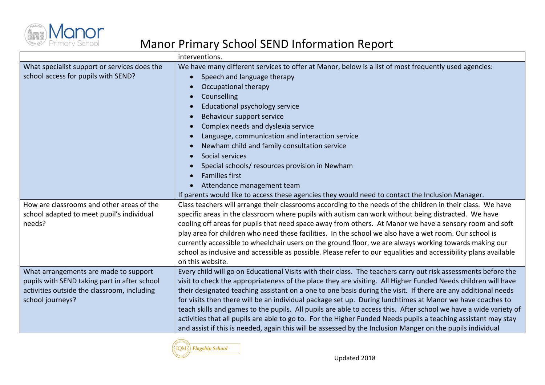

|                                                                                                                                                          | interventions.                                                                                                                                                                                                                                                                                                                                                                                                                                                                                                                                                                                                                                                                                                                                                                                                    |
|----------------------------------------------------------------------------------------------------------------------------------------------------------|-------------------------------------------------------------------------------------------------------------------------------------------------------------------------------------------------------------------------------------------------------------------------------------------------------------------------------------------------------------------------------------------------------------------------------------------------------------------------------------------------------------------------------------------------------------------------------------------------------------------------------------------------------------------------------------------------------------------------------------------------------------------------------------------------------------------|
| What specialist support or services does the<br>school access for pupils with SEND?                                                                      | We have many different services to offer at Manor, below is a list of most frequently used agencies:<br>Speech and language therapy<br>Occupational therapy<br>Counselling<br><b>Educational psychology service</b><br>$\bullet$<br>Behaviour support service<br>Complex needs and dyslexia service<br>Language, communication and interaction service<br>$\bullet$<br>Newham child and family consultation service<br>Social services<br>Special schools/ resources provision in Newham<br><b>Families first</b><br>Attendance management team<br>If parents would like to access these agencies they would need to contact the Inclusion Manager.                                                                                                                                                               |
| How are classrooms and other areas of the<br>school adapted to meet pupil's individual<br>needs?                                                         | Class teachers will arrange their classrooms according to the needs of the children in their class. We have<br>specific areas in the classroom where pupils with autism can work without being distracted. We have<br>cooling off areas for pupils that need space away from others. At Manor we have a sensory room and soft<br>play area for children who need these facilities. In the school we also have a wet room. Our school is<br>currently accessible to wheelchair users on the ground floor, we are always working towards making our<br>school as inclusive and accessible as possible. Please refer to our equalities and accessibility plans available<br>on this website.                                                                                                                         |
| What arrangements are made to support<br>pupils with SEND taking part in after school<br>activities outside the classroom, including<br>school journeys? | Every child will go on Educational Visits with their class. The teachers carry out risk assessments before the<br>visit to check the appropriateness of the place they are visiting. All Higher Funded Needs children will have<br>their designated teaching assistant on a one to one basis during the visit. If there are any additional needs<br>for visits then there will be an individual package set up. During lunchtimes at Manor we have coaches to<br>teach skills and games to the pupils. All pupils are able to access this. After school we have a wide variety of<br>activities that all pupils are able to go to. For the Higher Funded Needs pupils a teaching assistant may stay<br>and assist if this is needed, again this will be assessed by the Inclusion Manger on the pupils individual |

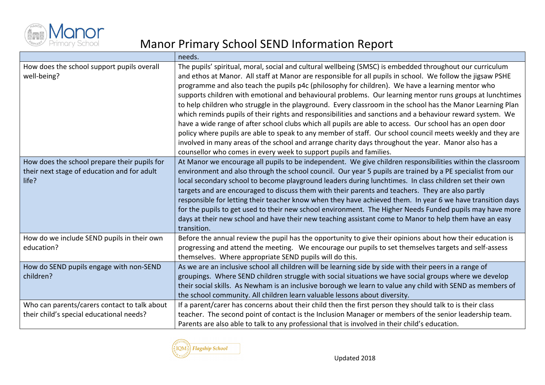

|                                                                                                      | needs.                                                                                                                                                                                                                                                                                                                                                                                                                                                                                                                                                                                                                                                                                                                                                                                                                                                                                                                                                                                                                                                                   |
|------------------------------------------------------------------------------------------------------|--------------------------------------------------------------------------------------------------------------------------------------------------------------------------------------------------------------------------------------------------------------------------------------------------------------------------------------------------------------------------------------------------------------------------------------------------------------------------------------------------------------------------------------------------------------------------------------------------------------------------------------------------------------------------------------------------------------------------------------------------------------------------------------------------------------------------------------------------------------------------------------------------------------------------------------------------------------------------------------------------------------------------------------------------------------------------|
| How does the school support pupils overall<br>well-being?                                            | The pupils' spiritual, moral, social and cultural wellbeing (SMSC) is embedded throughout our curriculum<br>and ethos at Manor. All staff at Manor are responsible for all pupils in school. We follow the jigsaw PSHE<br>programme and also teach the pupils p4c (philosophy for children). We have a learning mentor who<br>supports children with emotional and behavioural problems. Our learning mentor runs groups at lunchtimes<br>to help children who struggle in the playground. Every classroom in the school has the Manor Learning Plan<br>which reminds pupils of their rights and responsibilities and sanctions and a behaviour reward system. We<br>have a wide range of after school clubs which all pupils are able to access. Our school has an open door<br>policy where pupils are able to speak to any member of staff. Our school council meets weekly and they are<br>involved in many areas of the school and arrange charity days throughout the year. Manor also has a<br>counsellor who comes in every week to support pupils and families. |
| How does the school prepare their pupils for<br>their next stage of education and for adult<br>life? | At Manor we encourage all pupils to be independent. We give children responsibilities within the classroom<br>environment and also through the school council. Our year 5 pupils are trained by a PE specialist from our<br>local secondary school to become playground leaders during lunchtimes. In class children set their own<br>targets and are encouraged to discuss them with their parents and teachers. They are also partly<br>responsible for letting their teacher know when they have achieved them. In year 6 we have transition days<br>for the pupils to get used to their new school environment. The Higher Needs Funded pupils may have more<br>days at their new school and have their new teaching assistant come to Manor to help them have an easy<br>transition.                                                                                                                                                                                                                                                                                |
| How do we include SEND pupils in their own<br>education?                                             | Before the annual review the pupil has the opportunity to give their opinions about how their education is<br>progressing and attend the meeting. We encourage our pupils to set themselves targets and self-assess<br>themselves. Where appropriate SEND pupils will do this.                                                                                                                                                                                                                                                                                                                                                                                                                                                                                                                                                                                                                                                                                                                                                                                           |
| How do SEND pupils engage with non-SEND<br>children?                                                 | As we are an inclusive school all children will be learning side by side with their peers in a range of<br>groupings. Where SEND children struggle with social situations we have social groups where we develop<br>their social skills. As Newham is an inclusive borough we learn to value any child with SEND as members of<br>the school community. All children learn valuable lessons about diversity.                                                                                                                                                                                                                                                                                                                                                                                                                                                                                                                                                                                                                                                             |
| Who can parents/carers contact to talk about<br>their child's special educational needs?             | If a parent/carer has concerns about their child then the first person they should talk to is their class<br>teacher. The second point of contact is the Inclusion Manager or members of the senior leadership team.<br>Parents are also able to talk to any professional that is involved in their child's education.                                                                                                                                                                                                                                                                                                                                                                                                                                                                                                                                                                                                                                                                                                                                                   |